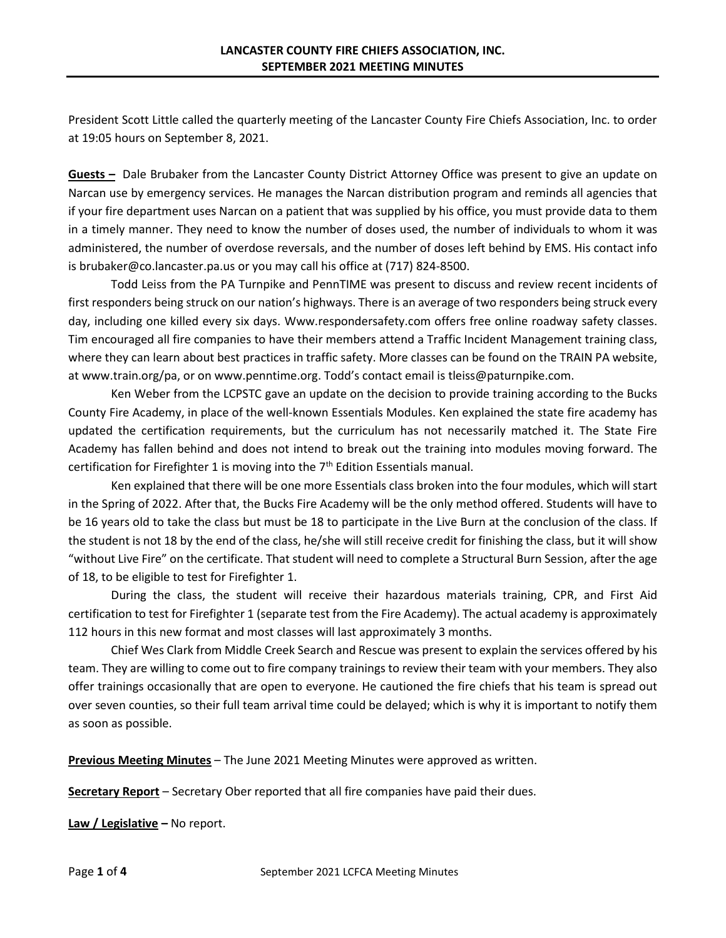President Scott Little called the quarterly meeting of the Lancaster County Fire Chiefs Association, Inc. to order at 19:05 hours on September 8, 2021.

**Guests –** Dale Brubaker from the Lancaster County District Attorney Office was present to give an update on Narcan use by emergency services. He manages the Narcan distribution program and reminds all agencies that if your fire department uses Narcan on a patient that was supplied by his office, you must provide data to them in a timely manner. They need to know the number of doses used, the number of individuals to whom it was administered, the number of overdose reversals, and the number of doses left behind by EMS. His contact info is brubaker@co.lancaster.pa.us or you may call his office at (717) 824-8500.

Todd Leiss from the PA Turnpike and PennTIME was present to discuss and review recent incidents of first responders being struck on our nation's highways. There is an average of two responders being struck every day, including one killed every six days. Www.respondersafety.com offers free online roadway safety classes. Tim encouraged all fire companies to have their members attend a Traffic Incident Management training class, where they can learn about best practices in traffic safety. More classes can be found on the TRAIN PA website, at www.train.org/pa, or on www.penntime.org. Todd's contact email is [tleiss@paturnpike.com.](mailto:tleiss@paturnpike.com)

Ken Weber from the LCPSTC gave an update on the decision to provide training according to the Bucks County Fire Academy, in place of the well-known Essentials Modules. Ken explained the state fire academy has updated the certification requirements, but the curriculum has not necessarily matched it. The State Fire Academy has fallen behind and does not intend to break out the training into modules moving forward. The certification for Firefighter 1 is moving into the  $7<sup>th</sup>$  Edition Essentials manual.

Ken explained that there will be one more Essentials class broken into the four modules, which will start in the Spring of 2022. After that, the Bucks Fire Academy will be the only method offered. Students will have to be 16 years old to take the class but must be 18 to participate in the Live Burn at the conclusion of the class. If the student is not 18 by the end of the class, he/she will still receive credit for finishing the class, but it will show "without Live Fire" on the certificate. That student will need to complete a Structural Burn Session, after the age of 18, to be eligible to test for Firefighter 1.

During the class, the student will receive their hazardous materials training, CPR, and First Aid certification to test for Firefighter 1 (separate test from the Fire Academy). The actual academy is approximately 112 hours in this new format and most classes will last approximately 3 months.

Chief Wes Clark from Middle Creek Search and Rescue was present to explain the services offered by his team. They are willing to come out to fire company trainings to review their team with your members. They also offer trainings occasionally that are open to everyone. He cautioned the fire chiefs that his team is spread out over seven counties, so their full team arrival time could be delayed; which is why it is important to notify them as soon as possible.

**Previous Meeting Minutes** – The June 2021 Meeting Minutes were approved as written.

**Secretary Report** – Secretary Ober reported that all fire companies have paid their dues.

**Law / Legislative –** No report.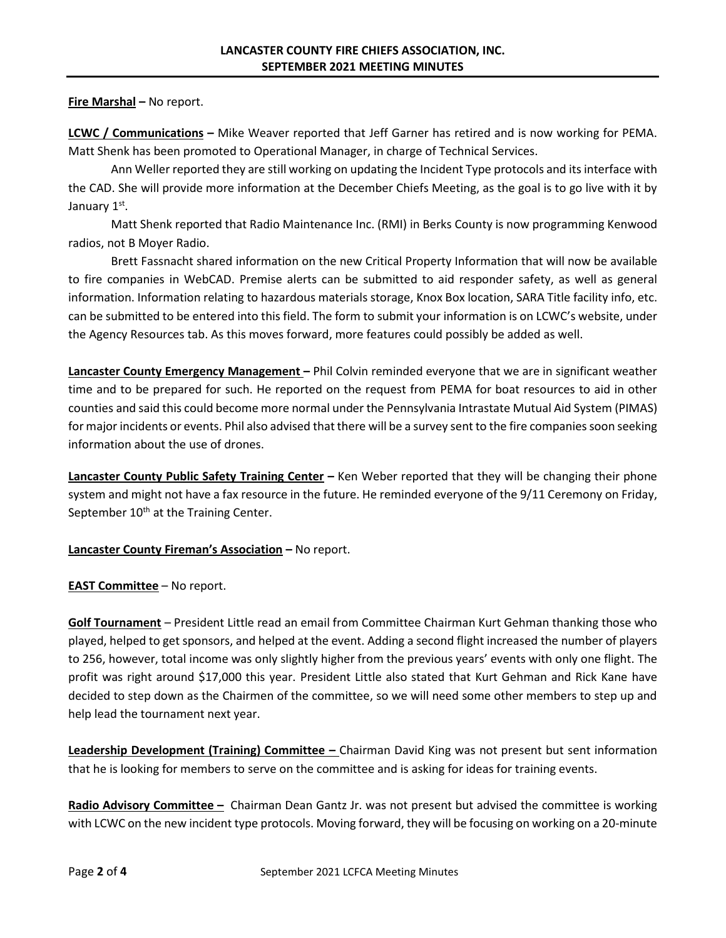## **Fire Marshal –** No report.

**LCWC / Communications –** Mike Weaver reported that Jeff Garner has retired and is now working for PEMA. Matt Shenk has been promoted to Operational Manager, in charge of Technical Services.

Ann Weller reported they are still working on updating the Incident Type protocols and its interface with the CAD. She will provide more information at the December Chiefs Meeting, as the goal is to go live with it by January 1st.

Matt Shenk reported that Radio Maintenance Inc. (RMI) in Berks County is now programming Kenwood radios, not B Moyer Radio.

Brett Fassnacht shared information on the new Critical Property Information that will now be available to fire companies in WebCAD. Premise alerts can be submitted to aid responder safety, as well as general information. Information relating to hazardous materials storage, Knox Box location, SARA Title facility info, etc. can be submitted to be entered into this field. The form to submit your information is on LCWC's website, under the Agency Resources tab. As this moves forward, more features could possibly be added as well.

**Lancaster County Emergency Management –** Phil Colvin reminded everyone that we are in significant weather time and to be prepared for such. He reported on the request from PEMA for boat resources to aid in other counties and said this could become more normal under the Pennsylvania Intrastate Mutual Aid System (PIMAS) for major incidents or events. Phil also advised that there will be a survey sent to the fire companies soon seeking information about the use of drones.

**Lancaster County Public Safety Training Center –** Ken Weber reported that they will be changing their phone system and might not have a fax resource in the future. He reminded everyone of the 9/11 Ceremony on Friday, September  $10<sup>th</sup>$  at the Training Center.

## **Lancaster County Fireman's Association –** No report.

**EAST Committee** – No report.

**Golf Tournament** – President Little read an email from Committee Chairman Kurt Gehman thanking those who played, helped to get sponsors, and helped at the event. Adding a second flight increased the number of players to 256, however, total income was only slightly higher from the previous years' events with only one flight. The profit was right around \$17,000 this year. President Little also stated that Kurt Gehman and Rick Kane have decided to step down as the Chairmen of the committee, so we will need some other members to step up and help lead the tournament next year.

**Leadership Development (Training) Committee –** Chairman David King was not present but sent information that he is looking for members to serve on the committee and is asking for ideas for training events.

**Radio Advisory Committee –** Chairman Dean Gantz Jr. was not present but advised the committee is working with LCWC on the new incident type protocols. Moving forward, they will be focusing on working on a 20-minute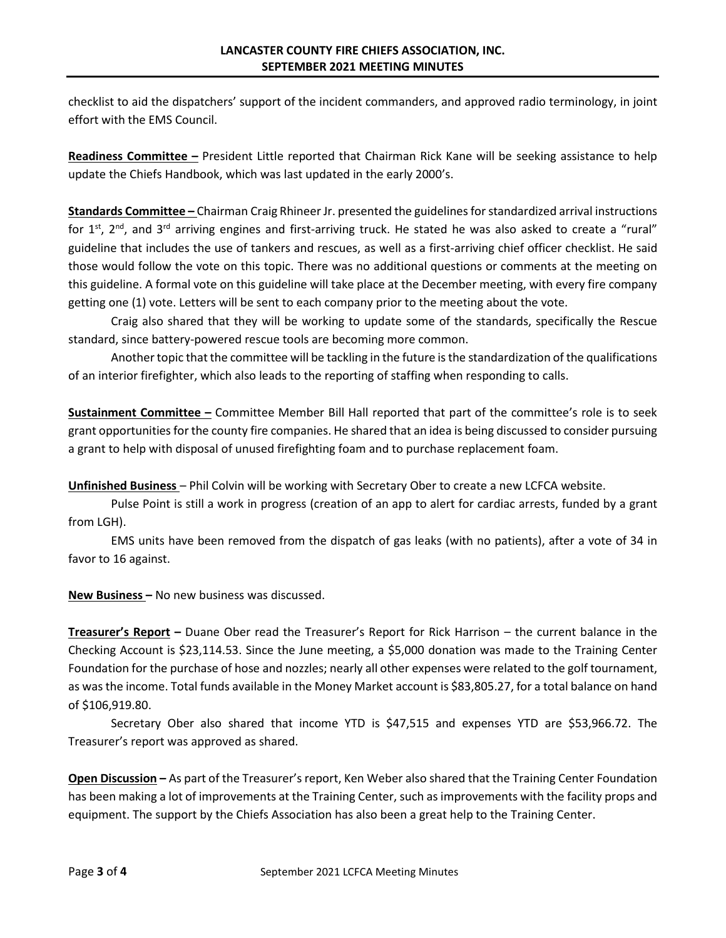checklist to aid the dispatchers' support of the incident commanders, and approved radio terminology, in joint effort with the EMS Council.

**Readiness Committee –** President Little reported that Chairman Rick Kane will be seeking assistance to help update the Chiefs Handbook, which was last updated in the early 2000's.

**Standards Committee –** Chairman Craig Rhineer Jr. presented the guidelines for standardized arrival instructions for  $1<sup>st</sup>$ , 2<sup>nd</sup>, and 3<sup>rd</sup> arriving engines and first-arriving truck. He stated he was also asked to create a "rural" guideline that includes the use of tankers and rescues, as well as a first-arriving chief officer checklist. He said those would follow the vote on this topic. There was no additional questions or comments at the meeting on this guideline. A formal vote on this guideline will take place at the December meeting, with every fire company getting one (1) vote. Letters will be sent to each company prior to the meeting about the vote.

Craig also shared that they will be working to update some of the standards, specifically the Rescue standard, since battery-powered rescue tools are becoming more common.

Another topic that the committee will be tackling in the future is the standardization of the qualifications of an interior firefighter, which also leads to the reporting of staffing when responding to calls.

**Sustainment Committee –** Committee Member Bill Hall reported that part of the committee's role is to seek grant opportunities for the county fire companies. He shared that an idea is being discussed to consider pursuing a grant to help with disposal of unused firefighting foam and to purchase replacement foam.

**Unfinished Business** – Phil Colvin will be working with Secretary Ober to create a new LCFCA website.

Pulse Point is still a work in progress (creation of an app to alert for cardiac arrests, funded by a grant from LGH).

EMS units have been removed from the dispatch of gas leaks (with no patients), after a vote of 34 in favor to 16 against.

**New Business –** No new business was discussed.

**Treasurer's Report –** Duane Ober read the Treasurer's Report for Rick Harrison – the current balance in the Checking Account is \$23,114.53. Since the June meeting, a \$5,000 donation was made to the Training Center Foundation for the purchase of hose and nozzles; nearly all other expenses were related to the golf tournament, as was the income. Total funds available in the Money Market account is \$83,805.27, for a total balance on hand of \$106,919.80.

Secretary Ober also shared that income YTD is \$47,515 and expenses YTD are \$53,966.72. The Treasurer's report was approved as shared.

**Open Discussion –** As part of the Treasurer's report, Ken Weber also shared that the Training Center Foundation has been making a lot of improvements at the Training Center, such as improvements with the facility props and equipment. The support by the Chiefs Association has also been a great help to the Training Center.